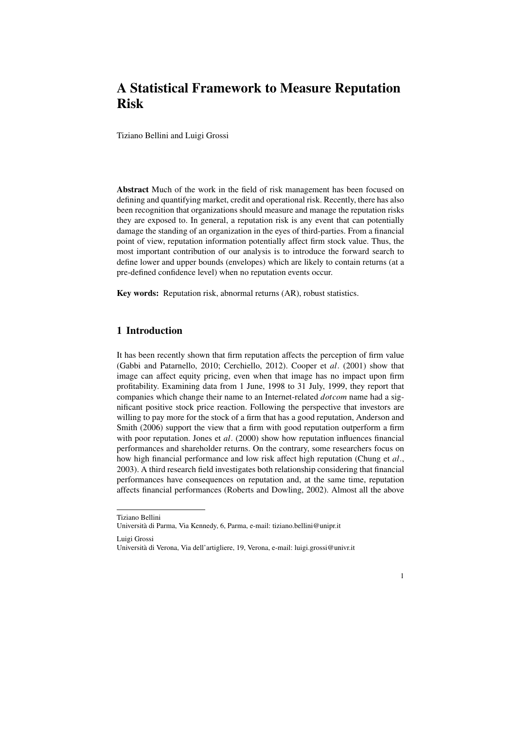# A Statistical Framework to Measure Reputation Risk

Tiziano Bellini and Luigi Grossi

Abstract Much of the work in the field of risk management has been focused on defining and quantifying market, credit and operational risk. Recently, there has also been recognition that organizations should measure and manage the reputation risks they are exposed to. In general, a reputation risk is any event that can potentially damage the standing of an organization in the eyes of third-parties. From a financial point of view, reputation information potentially affect firm stock value. Thus, the most important contribution of our analysis is to introduce the forward search to define lower and upper bounds (envelopes) which are likely to contain returns (at a pre-defined confidence level) when no reputation events occur.

Key words: Reputation risk, abnormal returns (AR), robust statistics.

## 1 Introduction

It has been recently shown that firm reputation affects the perception of firm value (Gabbi and Patarnello, 2010; Cerchiello, 2012). Cooper et *al*. (2001) show that image can affect equity pricing, even when that image has no impact upon firm profitability. Examining data from 1 June, 1998 to 31 July, 1999, they report that companies which change their name to an Internet-related *dotcom* name had a significant positive stock price reaction. Following the perspective that investors are willing to pay more for the stock of a firm that has a good reputation, Anderson and Smith (2006) support the view that a firm with good reputation outperform a firm with poor reputation. Jones et *al.* (2000) show how reputation influences financial performances and shareholder returns. On the contrary, some researchers focus on how high financial performance and low risk affect high reputation (Chung et *al*., 2003). A third research field investigates both relationship considering that financial performances have consequences on reputation and, at the same time, reputation affects financial performances (Roberts and Dowling, 2002). Almost all the above

Luigi Grossi

1

Tiziano Bellini Universita di Parma, Via Kennedy, 6, Parma, e-mail: tiziano.bellini@unipr.it `

Universita di Verona, Via dell'artigliere, 19, Verona, e-mail: luigi.grossi@univr.it `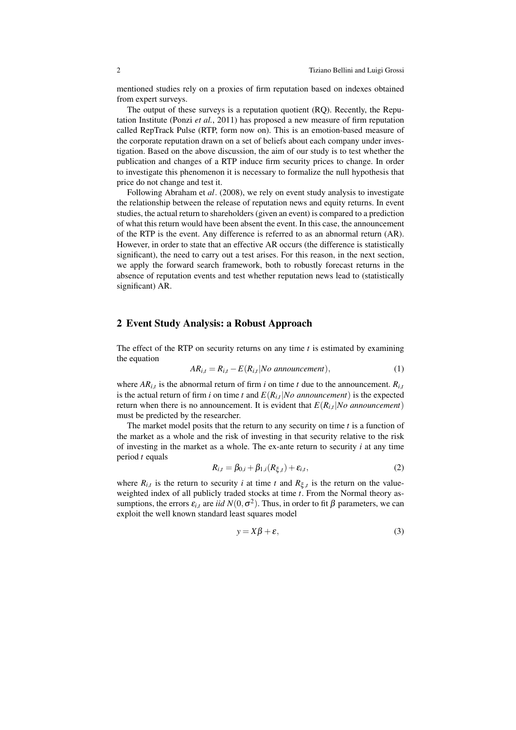mentioned studies rely on a proxies of firm reputation based on indexes obtained from expert surveys.

The output of these surveys is a reputation quotient (RQ). Recently, the Reputation Institute (Ponzi *et al.*, 2011) has proposed a new measure of firm reputation called RepTrack Pulse (RTP, form now on). This is an emotion-based measure of the corporate reputation drawn on a set of beliefs about each company under investigation. Based on the above discussion, the aim of our study is to test whether the publication and changes of a RTP induce firm security prices to change. In order to investigate this phenomenon it is necessary to formalize the null hypothesis that price do not change and test it.

Following Abraham et *al*. (2008), we rely on event study analysis to investigate the relationship between the release of reputation news and equity returns. In event studies, the actual return to shareholders (given an event) is compared to a prediction of what this return would have been absent the event. In this case, the announcement of the RTP is the event. Any difference is referred to as an abnormal return (AR). However, in order to state that an effective AR occurs (the difference is statistically significant), the need to carry out a test arises. For this reason, in the next section, we apply the forward search framework, both to robustly forecast returns in the absence of reputation events and test whether reputation news lead to (statistically significant) AR.

#### 2 Event Study Analysis: a Robust Approach

The effect of the RTP on security returns on any time *t* is estimated by examining the equation

$$
AR_{i,t} = R_{i,t} - E(R_{i,t}|No\ announcement),
$$
\n(1)

where  $AR_{i,t}$  is the abnormal return of firm *i* on time *t* due to the announcement.  $R_{i,t}$ is the actual return of firm *i* on time *t* and  $E(R_{i,t}|No$  *announcement*) is the expected return when there is no announcement. It is evident that  $E(R_i_t|No$  announcement) must be predicted by the researcher.

The market model posits that the return to any security on time *t* is a function of the market as a whole and the risk of investing in that security relative to the risk of investing in the market as a whole. The ex-ante return to security *i* at any time period *t* equals

$$
R_{i,t} = \beta_{0,i} + \beta_{1,i}(R_{\xi,t}) + \varepsilon_{i,t},
$$
\n(2)

where  $R_{i,t}$  is the return to security *i* at time *t* and  $R_{\xi,t}$  is the return on the valueweighted index of all publicly traded stocks at time *t*. From the Normal theory assumptions, the errors  $\varepsilon_{i,t}$  are *iid*  $N(0, \sigma^2)$ . Thus, in order to fit  $\beta$  parameters, we can exploit the well known standard least squares model

$$
y = X\beta + \varepsilon,\tag{3}
$$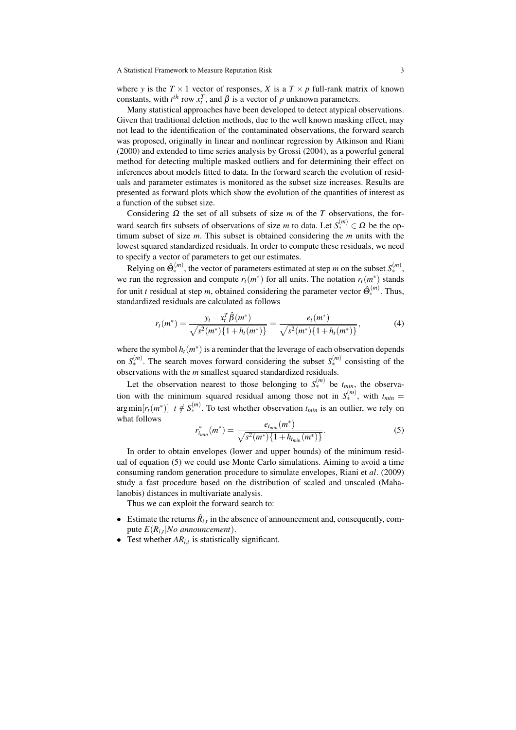where *y* is the  $T \times 1$  vector of responses, *X* is a  $T \times p$  full-rank matrix of known constants, with  $t^{th}$  row  $x_t^T$ , and  $\beta$  is a vector of *p* unknown parameters.

Many statistical approaches have been developed to detect atypical observations. Given that traditional deletion methods, due to the well known masking effect, may not lead to the identification of the contaminated observations, the forward search was proposed, originally in linear and nonlinear regression by Atkinson and Riani (2000) and extended to time series analysis by Grossi (2004), as a powerful general method for detecting multiple masked outliers and for determining their effect on inferences about models fitted to data. In the forward search the evolution of residuals and parameter estimates is monitored as the subset size increases. Results are presented as forward plots which show the evolution of the quantities of interest as a function of the subset size.

Considering  $\Omega$  the set of all subsets of size *m* of the *T* observations, the forward search fits subsets of observations of size *m* to data. Let  $S_{*}^{(m)} \in \Omega$  be the optimum subset of size *m*. This subset is obtained considering the *m* units with the lowest squared standardized residuals. In order to compute these residuals, we need to specify a vector of parameters to get our estimates.

Relying on  $\hat{\Theta}_{*}^{(m)}$ , the vector of parameters estimated at step *m* on the subset  $S_{*}^{(m)}$ , we run the regression and compute  $r_t(m^*)$  for all units. The notation  $r_t(m^*)$  stands for unit *t* residual at step *m*, obtained considering the parameter vector  $\hat{\Theta}_{*}^{(m)}$ . Thus, standardized residuals are calculated as follows

$$
r_t(m^*) = \frac{y_t - x_t^T \hat{\beta}(m^*)}{\sqrt{s^2(m^*)\{1 + h_t(m^*)\}}} = \frac{e_t(m^*)}{\sqrt{s^2(m^*)\{1 + h_t(m^*)\}}},\tag{4}
$$

where the symbol  $h_t(m^*)$  is a reminder that the leverage of each observation depends on  $S_{*}^{(m)}$ . The search moves forward considering the subset  $S_{*}^{(m)}$  consisting of the observations with the *m* smallest squared standardized residuals.

Let the observation nearest to those belonging to  $S_{\ast}^{(m)}$  be  $t_{min}$ , the observation with the minimum squared residual among those not in  $S_{*}^{(m)}$ , with  $t_{min} =$  $arg min[r_t(m^*)]$  *t*  $\notin S_*^{(m)}$ . To test whether observation  $t_{min}$  is an outlier, we rely on what follows

$$
r_{t_{min}}^*(m^*) = \frac{e_{t_{min}}(m^*)}{\sqrt{s^2(m^*)\{1 + h_{t_{min}}(m^*)\}}}.
$$
\n(5)

In order to obtain envelopes (lower and upper bounds) of the minimum residual of equation (5) we could use Monte Carlo simulations. Aiming to avoid a time consuming random generation procedure to simulate envelopes, Riani et *al*. (2009) study a fast procedure based on the distribution of scaled and unscaled (Mahalanobis) distances in multivariate analysis.

Thus we can exploit the forward search to:

- Estimate the returns  $\hat{R}_{i,t}$  in the absence of announcement and, consequently, compute *E*(*Ri*,*t*|*No announcement*).
- Test whether  $AR_{i,t}$  is statistically significant.